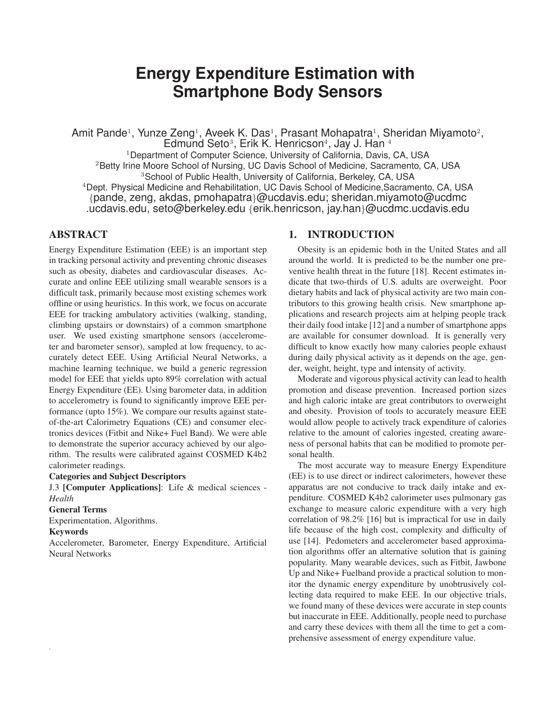# **Energy Expenditure Estimation with Smartphone Body Sensors**

Amit Pande<sup>1</sup>, Yunze Zeng<sup>1</sup>, Aveek K. Das<sup>1</sup>, Prasant Mohapatra<sup>1</sup>, Sheridan Miyamoto<sup>2</sup>, Edmund Seto<sup>3</sup>, Erik K. Henricson<sup>4</sup>, Jay J. Han <sup>4</sup> <sup>1</sup>Department of Computer Science, University of California, Davis, CA, USA <sup>2</sup>Betty Irine Moore School of Nursing, UC Davis School of Medicine, Sacramento, CA, USA <sup>3</sup>School of Public Health, University of California, Berkeley, CA, USA <sup>4</sup>Dept. Physical Medicine and Rehabilitation, UC Davis School of Medicine,Sacramento, CA, USA {pande, zeng, akdas, pmohapatra}@ucdavis.edu; sheridan.miyamoto@ucdmc .ucdavis.edu, seto@berkeley.edu {erik.henricson, jay.han}@ucdmc.ucdavis.edu

# ABSTRACT

Energy Expenditure Estimation (EEE) is an important step in tracking personal activity and preventing chronic diseases such as obesity, diabetes and cardiovascular diseases. Accurate and online EEE utilizing small wearable sensors is a difficult task, primarily because most existing schemes work offline or using heuristics. In this work, we focus on accurate EEE for tracking ambulatory activities (walking, standing, climbing upstairs or downstairs) of a common smartphone user. We used existing smartphone sensors (accelerometer and barometer sensor), sampled at low frequency, to accurately detect EEE. Using Artificial Neural Networks, a machine learning technique, we build a generic regression model for EEE that yields upto 89% correlation with actual Energy Expenditure (EE). Using barometer data, in addition to accelerometry is found to significantly improve EEE performance (upto 15%). We compare our results against stateof-the-art Calorimetry Equations (CE) and consumer electronics devices (Fitbit and Nike+ Fuel Band). We were able to demonstrate the superior accuracy achieved by our algorithm. The results were calibrated against COSMED K4b2 calorimeter readings.

#### Categories and Subject Descriptors

J.3 [Computer Applications]: Life & medical sciences - *Health*

#### General Terms

Experimentation, Algorithms.

#### Keywords

.

Accelerometer, Barometer, Energy Expenditure, Artificial Neural Networks

# 1. INTRODUCTION

Obesity is an epidemic both in the United States and all around the world. It is predicted to be the number one preventive health threat in the future [18]. Recent estimates indicate that two-thirds of U.S. adults are overweight. Poor dietary habits and lack of physical activity are two main contributors to this growing health crisis. New smartphone applications and research projects aim at helping people track their daily food intake [12] and a number of smartphone apps are available for consumer download. It is generally very difficult to know exactly how many calories people exhaust during daily physical activity as it depends on the age, gender, weight, height, type and intensity of activity.

Moderate and vigorous physical activity can lead to health promotion and disease prevention. Increased portion sizes and high caloric intake are great contributors to overweight and obesity. Provision of tools to accurately measure EEE would allow people to actively track expenditure of calories relative to the amount of calories ingested, creating awareness of personal habits that can be modified to promote personal health.

The most accurate way to measure Energy Expenditure (EE) is to use direct or indirect calorimeters, however these apparatus are not conducive to track daily intake and expenditure. COSMED K4b2 calorimeter uses pulmonary gas exchange to measure caloric expenditure with a very high correlation of 98.2% [16] but is impractical for use in daily life because of the high cost, complexity and difficulty of use [14]. Pedometers and accelerometer based approximation algorithms offer an alternative solution that is gaining popularity. Many wearable devices, such as Fitbit, Jawbone Up and Nike+ Fuelband provide a practical solution to monitor the dynamic energy expenditure by unobtrusively collecting data required to make EEE. In our objective trials, we found many of these devices were accurate in step counts but inaccurate in EEE. Additionally, people need to purchase and carry these devices with them all the time to get a comprehensive assessment of energy expenditure value.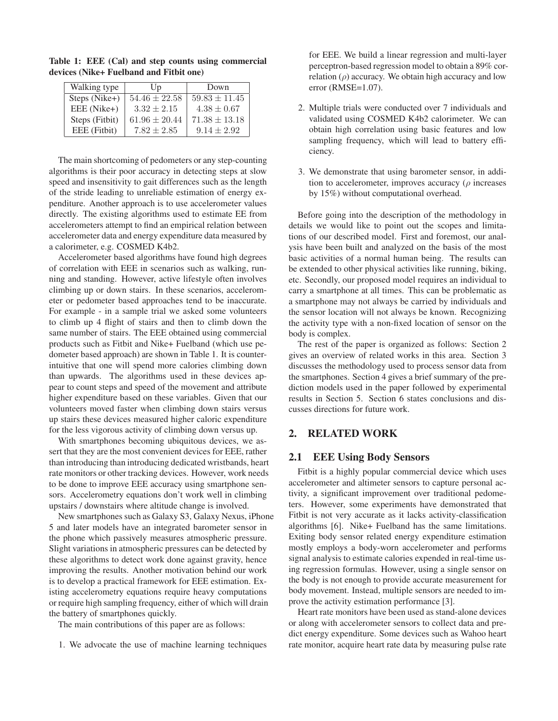| Walking type   | U <sub>p</sub>    | Down              |
|----------------|-------------------|-------------------|
| Steps (Nike+)  | $54.46 \pm 22.58$ | $59.83 \pm 11.45$ |
| EEE (Nike+)    | $3.32 \pm 2.15$   | $4.38 \pm 0.67$   |
| Steps (Fitbit) | $61.96 \pm 20.44$ | $71.38 \pm 13.18$ |
| EEE (Fitbit)   | $7.82 + 2.85$     | $9.14 + 2.92$     |

Table 1: EEE (Cal) and step counts using commercial devices (Nike+ Fuelband and Fitbit one)

The main shortcoming of pedometers or any step-counting algorithms is their poor accuracy in detecting steps at slow speed and insensitivity to gait differences such as the length of the stride leading to unreliable estimation of energy expenditure. Another approach is to use accelerometer values directly. The existing algorithms used to estimate EE from accelerometers attempt to find an empirical relation between accelerometer data and energy expenditure data measured by a calorimeter, e.g. COSMED K4b2.

Accelerometer based algorithms have found high degrees of correlation with EEE in scenarios such as walking, running and standing. However, active lifestyle often involves climbing up or down stairs. In these scenarios, accelerometer or pedometer based approaches tend to be inaccurate. For example - in a sample trial we asked some volunteers to climb up 4 flight of stairs and then to climb down the same number of stairs. The EEE obtained using commercial products such as Fitbit and Nike+ Fuelband (which use pedometer based approach) are shown in Table 1. It is counterintuitive that one will spend more calories climbing down than upwards. The algorithms used in these devices appear to count steps and speed of the movement and attribute higher expenditure based on these variables. Given that our volunteers moved faster when climbing down stairs versus up stairs these devices measured higher caloric expenditure for the less vigorous activity of climbing down versus up.

With smartphones becoming ubiquitous devices, we assert that they are the most convenient devices for EEE, rather than introducing than introducing dedicated wristbands, heart rate monitors or other tracking devices. However, work needs to be done to improve EEE accuracy using smartphone sensors. Accelerometry equations don't work well in climbing upstairs / downstairs where altitude change is involved.

New smartphones such as Galaxy S3, Galaxy Nexus, iPhone 5 and later models have an integrated barometer sensor in the phone which passively measures atmospheric pressure. Slight variations in atmospheric pressures can be detected by these algorithms to detect work done against gravity, hence improving the results. Another motivation behind our work is to develop a practical framework for EEE estimation. Existing accelerometry equations require heavy computations or require high sampling frequency, either of which will drain the battery of smartphones quickly.

The main contributions of this paper are as follows:

1. We advocate the use of machine learning techniques

for EEE. We build a linear regression and multi-layer perceptron-based regression model to obtain a 89% correlation  $(\rho)$  accuracy. We obtain high accuracy and low error (RMSE=1.07).

- 2. Multiple trials were conducted over 7 individuals and validated using COSMED K4b2 calorimeter. We can obtain high correlation using basic features and low sampling frequency, which will lead to battery efficiency.
- 3. We demonstrate that using barometer sensor, in addition to accelerometer, improves accuracy ( $\rho$  increases by 15%) without computational overhead.

Before going into the description of the methodology in details we would like to point out the scopes and limitations of our described model. First and foremost, our analysis have been built and analyzed on the basis of the most basic activities of a normal human being. The results can be extended to other physical activities like running, biking, etc. Secondly, our proposed model requires an individual to carry a smartphone at all times. This can be problematic as a smartphone may not always be carried by individuals and the sensor location will not always be known. Recognizing the activity type with a non-fixed location of sensor on the body is complex.

The rest of the paper is organized as follows: Section 2 gives an overview of related works in this area. Section 3 discusses the methodology used to process sensor data from the smartphones. Section 4 gives a brief summary of the prediction models used in the paper followed by experimental results in Section 5. Section 6 states conclusions and discusses directions for future work.

# 2. RELATED WORK

## 2.1 EEE Using Body Sensors

Fitbit is a highly popular commercial device which uses accelerometer and altimeter sensors to capture personal activity, a significant improvement over traditional pedometers. However, some experiments have demonstrated that Fitbit is not very accurate as it lacks activity-classification algorithms [6]. Nike+ Fuelband has the same limitations. Exiting body sensor related energy expenditure estimation mostly employs a body-worn accelerometer and performs signal analysis to estimate calories expended in real-time using regression formulas. However, using a single sensor on the body is not enough to provide accurate measurement for body movement. Instead, multiple sensors are needed to improve the activity estimation performance [3].

Heart rate monitors have been used as stand-alone devices or along with accelerometer sensors to collect data and predict energy expenditure. Some devices such as Wahoo heart rate monitor, acquire heart rate data by measuring pulse rate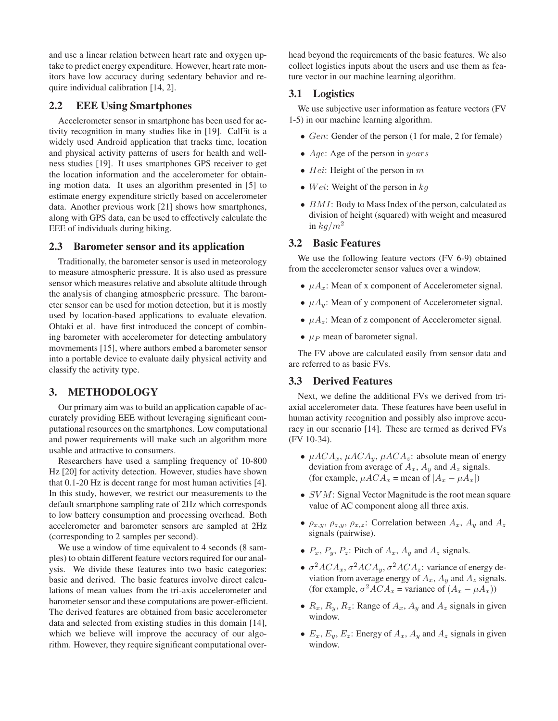and use a linear relation between heart rate and oxygen uptake to predict energy expenditure. However, heart rate monitors have low accuracy during sedentary behavior and require individual calibration [14, 2].

# 2.2 EEE Using Smartphones

Accelerometer sensor in smartphone has been used for activity recognition in many studies like in [19]. CalFit is a widely used Android application that tracks time, location and physical activity patterns of users for health and wellness studies [19]. It uses smartphones GPS receiver to get the location information and the accelerometer for obtaining motion data. It uses an algorithm presented in [5] to estimate energy expenditure strictly based on accelerometer data. Another previous work [21] shows how smartphones, along with GPS data, can be used to effectively calculate the EEE of individuals during biking.

#### 2.3 Barometer sensor and its application

Traditionally, the barometer sensor is used in meteorology to measure atmospheric pressure. It is also used as pressure sensor which measures relative and absolute altitude through the analysis of changing atmospheric pressure. The barometer sensor can be used for motion detection, but it is mostly used by location-based applications to evaluate elevation. Ohtaki et al. have first introduced the concept of combining barometer with accelerometer for detecting ambulatory movmements [15], where authors embed a barometer sensor into a portable device to evaluate daily physical activity and classify the activity type.

# 3. METHODOLOGY

Our primary aim was to build an application capable of accurately providing EEE without leveraging significant computational resources on the smartphones. Low computational and power requirements will make such an algorithm more usable and attractive to consumers.

Researchers have used a sampling frequency of 10-800 Hz [20] for activity detection. However, studies have shown that 0.1-20 Hz is decent range for most human activities [4]. In this study, however, we restrict our measurements to the default smartphone sampling rate of 2Hz which corresponds to low battery consumption and processing overhead. Both accelerometer and barometer sensors are sampled at 2Hz (corresponding to 2 samples per second).

We use a window of time equivalent to 4 seconds (8 samples) to obtain different feature vectors required for our analysis. We divide these features into two basic categories: basic and derived. The basic features involve direct calculations of mean values from the tri-axis accelerometer and barometer sensor and these computations are power-efficient. The derived features are obtained from basic accelerometer data and selected from existing studies in this domain [14], which we believe will improve the accuracy of our algorithm. However, they require significant computational overhead beyond the requirements of the basic features. We also collect logistics inputs about the users and use them as feature vector in our machine learning algorithm.

## 3.1 Logistics

We use subjective user information as feature vectors (FV 1-5) in our machine learning algorithm.

- Gen: Gender of the person (1 for male, 2 for female)
- Age: Age of the person in years
- Hei: Height of the person in  $m$
- Wei: Weight of the person in  $kq$
- *BMI*: Body to Mass Index of the person, calculated as division of height (squared) with weight and measured in  $kq/m^2$

#### 3.2 Basic Features

We use the following feature vectors (FV 6-9) obtained from the accelerometer sensor values over a window.

- $\mu A_x$ : Mean of x component of Accelerometer signal.
- $\mu A_y$ : Mean of y component of Accelerometer signal.
- $\mu A_z$ : Mean of z component of Accelerometer signal.
- $\mu_P$  mean of barometer signal.

The FV above are calculated easily from sensor data and are referred to as basic FVs.

#### 3.3 Derived Features

Next, we define the additional FVs we derived from triaxial accelerometer data. These features have been useful in human activity recognition and possibly also improve accuracy in our scenario [14]. These are termed as derived FVs (FV 10-34).

- $\mu A C A_x$ ,  $\mu A C A_y$ ,  $\mu A C A_z$ : absolute mean of energy deviation from average of  $A_x$ ,  $A_y$  and  $A_z$  signals. (for example,  $\mu A C A_x$  = mean of  $|A_x - \mu A_x|$ )
- *SVM*: Signal Vector Magnitude is the root mean square value of AC component along all three axis.
- $\rho_{x,y}, \rho_{z,y}, \rho_{x,z}$ : Correlation between  $A_x, A_y$  and  $A_z$ signals (pairwise).
- $P_x$ ,  $P_y$ ,  $P_z$ : Pitch of  $A_x$ ,  $A_y$  and  $A_z$  signals.
- $\sigma^2 A C A_x$ ,  $\sigma^2 A C A_y$ ,  $\sigma^2 A C A_z$ : variance of energy deviation from average energy of  $A_x$ ,  $A_y$  and  $A_z$  signals. (for example,  $\sigma^2 A C A_x$  = variance of  $(A_x - \mu A_x)$ )
- $R_x$ ,  $R_y$ ,  $R_z$ : Range of  $A_x$ ,  $A_y$  and  $A_z$  signals in given window.
- $E_x$ ,  $E_y$ ,  $E_z$ : Energy of  $A_x$ ,  $A_y$  and  $A_z$  signals in given window.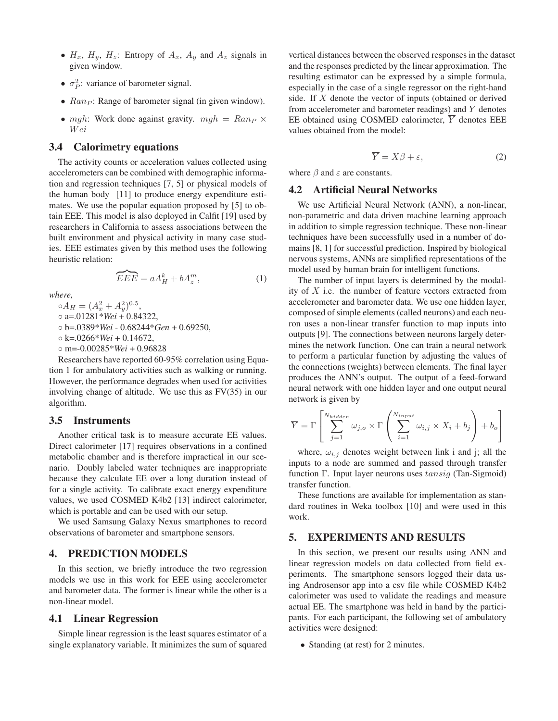- $H_x$ ,  $H_y$ ,  $H_z$ : Entropy of  $A_x$ ,  $A_y$  and  $A_z$  signals in given window.
- $\sigma_P^2$ : variance of barometer signal.
- $Ran_P$ : Range of barometer signal (in given window).
- mgh: Work done against gravity.  $mgh = Ran_P \times$ W ei

## 3.4 Calorimetry equations

The activity counts or acceleration values collected using accelerometers can be combined with demographic information and regression techniques [7, 5] or physical models of the human body [11] to produce energy expenditure estimates. We use the popular equation proposed by [5] to obtain EEE. This model is also deployed in Calfit [19] used by researchers in California to assess associations between the built environment and physical activity in many case studies. EEE estimates given by this method uses the following heuristic relation:

$$
\widetilde{EEE} = aA_H^k + bA_z^m,\tag{1}
$$

*where,*

 $\circ A_H = (A_x^2 + A_y^2)^{0.5},$ ◦ a=.01281\**Wei* + 0.84322, ◦ b=.0389\**Wei* - 0.68244\**Gen* + 0.69250, ◦ k=.0266\**Wei* + 0.14672, ◦ m=-0.00285\**Wei* + 0.96828

Researchers have reported 60-95% correlation using Equation 1 for ambulatory activities such as walking or running. However, the performance degrades when used for activities involving change of altitude. We use this as FV(35) in our algorithm.

## 3.5 Instruments

Another critical task is to measure accurate EE values. Direct calorimeter [17] requires observations in a confined metabolic chamber and is therefore impractical in our scenario. Doubly labeled water techniques are inappropriate because they calculate EE over a long duration instead of for a single activity. To calibrate exact energy expenditure values, we used COSMED K4b2 [13] indirect calorimeter, which is portable and can be used with our setup.

We used Samsung Galaxy Nexus smartphones to record observations of barometer and smartphone sensors.

#### 4. PREDICTION MODELS

In this section, we briefly introduce the two regression models we use in this work for EEE using accelerometer and barometer data. The former is linear while the other is a non-linear model.

#### 4.1 Linear Regression

Simple linear regression is the least squares estimator of a single explanatory variable. It minimizes the sum of squared

vertical distances between the observed responses in the dataset and the responses predicted by the linear approximation. The resulting estimator can be expressed by a simple formula, especially in the case of a single regressor on the right-hand side. If X denote the vector of inputs (obtained or derived from accelerometer and barometer readings) and Y denotes EE obtained using COSMED calorimeter,  $\overline{Y}$  denotes EEE values obtained from the model:

$$
\overline{Y} = X\beta + \varepsilon,\tag{2}
$$

where  $\beta$  and  $\varepsilon$  are constants.

#### 4.2 Artificial Neural Networks

We use Artificial Neural Network (ANN), a non-linear, non-parametric and data driven machine learning approach in addition to simple regression technique. These non-linear techniques have been successfully used in a number of domains [8, 1] for successful prediction. Inspired by biological nervous systems, ANNs are simplified representations of the model used by human brain for intelligent functions.

The number of input layers is determined by the modality of  $X$  i.e. the number of feature vectors extracted from accelerometer and barometer data. We use one hidden layer, composed of simple elements (called neurons) and each neuron uses a non-linear transfer function to map inputs into outputs [9]. The connections between neurons largely determines the network function. One can train a neural network to perform a particular function by adjusting the values of the connections (weights) between elements. The final layer produces the ANN's output. The output of a feed-forward neural network with one hidden layer and one output neural network is given by

$$
\overline{Y} = \Gamma \left[ \sum_{j=1}^{N_{hidden}} \omega_{j,o} \times \Gamma \left( \sum_{i=1}^{N_{input}} \omega_{i,j} \times X_i + b_j \right) + b_o \right]
$$

where,  $\omega_{i,j}$  denotes weight between link i and j; all the inputs to a node are summed and passed through transfer function Γ. Input layer neurons uses tansig (Tan-Sigmoid) transfer function.

These functions are available for implementation as standard routines in Weka toolbox [10] and were used in this work.

## 5. EXPERIMENTS AND RESULTS

In this section, we present our results using ANN and linear regression models on data collected from field experiments. The smartphone sensors logged their data using Androsensor app into a csv file while COSMED K4b2 calorimeter was used to validate the readings and measure actual EE. The smartphone was held in hand by the participants. For each participant, the following set of ambulatory activities were designed:

• Standing (at rest) for 2 minutes.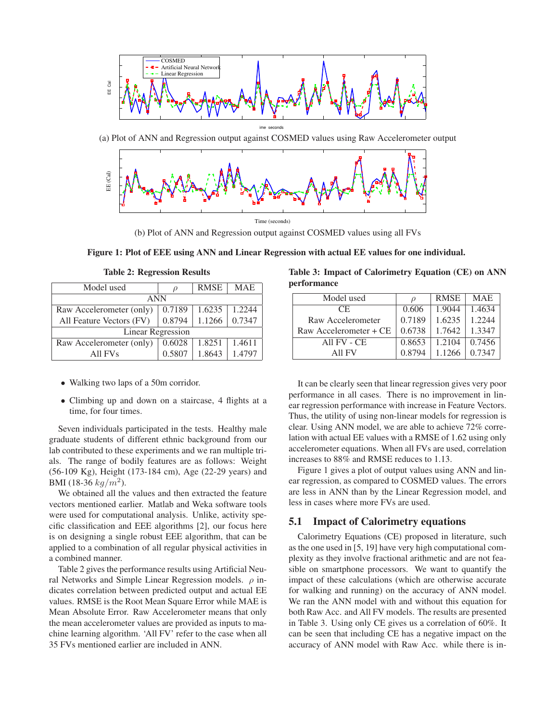



(b) Plot of ANN and Regression output against COSMED values using all FVs



| Model used               | $\rho$ | <b>RMSE</b> | <b>MAE</b> |  |  |  |
|--------------------------|--------|-------------|------------|--|--|--|
| <b>ANN</b>               |        |             |            |  |  |  |
| Raw Accelerometer (only) | 0.7189 | 1.6235      | 1.2244     |  |  |  |
| All Feature Vectors (FV) | 0.8794 | 1.1266      | 0.7347     |  |  |  |
| <b>Linear Regression</b> |        |             |            |  |  |  |
| Raw Accelerometer (only) | 0.6028 | 1.8251      | 1.4611     |  |  |  |
| All FVs                  | 0.5807 | 1.8643      | 1.4797     |  |  |  |

Table 2: Regression Results

- Walking two laps of a 50m corridor.
- Climbing up and down on a staircase, 4 flights at a time, for four times.

Seven individuals participated in the tests. Healthy male graduate students of different ethnic background from our lab contributed to these experiments and we ran multiple trials. The range of bodily features are as follows: Weight (56-109 Kg), Height (173-184 cm), Age (22-29 years) and BMI (18-36  $kg/m^2$ ).

We obtained all the values and then extracted the feature vectors mentioned earlier. Matlab and Weka software tools were used for computational analysis. Unlike, activity specific classification and EEE algorithms [2], our focus here is on designing a single robust EEE algorithm, that can be applied to a combination of all regular physical activities in a combined manner.

Table 2 gives the performance results using Artificial Neural Networks and Simple Linear Regression models.  $\rho$  indicates correlation between predicted output and actual EE values. RMSE is the Root Mean Square Error while MAE is Mean Absolute Error. Raw Accelerometer means that only the mean accelerometer values are provided as inputs to machine learning algorithm. 'All FV' refer to the case when all 35 FVs mentioned earlier are included in ANN.

Table 3: Impact of Calorimetry Equation (CE) on ANN performance

| Model used             |        | <b>RMSE</b> | <b>MAE</b> |  |
|------------------------|--------|-------------|------------|--|
| CE.                    | 0.606  | 1.9044      | 1.4634     |  |
| Raw Accelerometer      | 0.7189 | 1.6235      | 1.2244     |  |
| Raw Accelerometer + CE | 0.6738 | 1.7642      | 1.3347     |  |
| All FV - CE            | 0.8653 | 1.2104      | 0.7456     |  |
| All FV                 | 0.8794 | 1.1266      | 0.7347     |  |

It can be clearly seen that linear regression gives very poor performance in all cases. There is no improvement in linear regression performance with increase in Feature Vectors. Thus, the utility of using non-linear models for regression is clear. Using ANN model, we are able to achieve 72% correlation with actual EE values with a RMSE of 1.62 using only accelerometer equations. When all FVs are used, correlation increases to 88% and RMSE reduces to 1.13.

Figure 1 gives a plot of output values using ANN and linear regression, as compared to COSMED values. The errors are less in ANN than by the Linear Regression model, and less in cases where more FVs are used.

### 5.1 Impact of Calorimetry equations

Calorimetry Equations (CE) proposed in literature, such as the one used in [5, 19] have very high computational complexity as they involve fractional arithmetic and are not feasible on smartphone processors. We want to quantify the impact of these calculations (which are otherwise accurate for walking and running) on the accuracy of ANN model. We ran the ANN model with and without this equation for both Raw Acc. and All FV models. The results are presented in Table 3. Using only CE gives us a correlation of 60%. It can be seen that including CE has a negative impact on the accuracy of ANN model with Raw Acc. while there is in-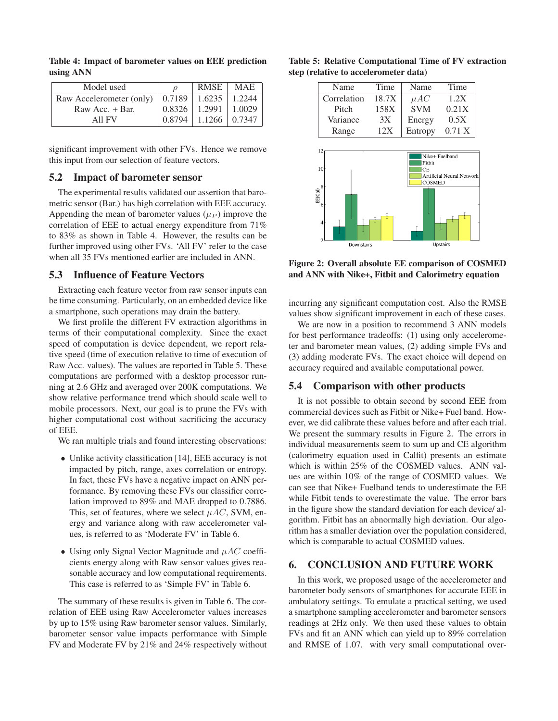| Model used                                          |          | <b>RMSE</b>         | <b>MAE</b> |
|-----------------------------------------------------|----------|---------------------|------------|
| Raw Accelerometer (only)   0.7189   1.6235   1.2244 |          |                     |            |
| Raw Acc. + Bar.                                     | 0.8326   | $1.2991 \pm 1.0029$ |            |
| All FV                                              | $0.8794$ | $1.1266 \pm 0.7347$ |            |

Table 4: Impact of barometer values on EEE prediction using ANN

significant improvement with other FVs. Hence we remove this input from our selection of feature vectors.

#### 5.2 Impact of barometer sensor

The experimental results validated our assertion that barometric sensor (Bar.) has high correlation with EEE accuracy. Appending the mean of barometer values ( $\mu$ <sub>P</sub>) improve the correlation of EEE to actual energy expenditure from 71% to 83% as shown in Table 4. However, the results can be further improved using other FVs. 'All FV' refer to the case when all 35 FVs mentioned earlier are included in ANN.

# 5.3 Influence of Feature Vectors

Extracting each feature vector from raw sensor inputs can be time consuming. Particularly, on an embedded device like a smartphone, such operations may drain the battery.

We first profile the different FV extraction algorithms in terms of their computational complexity. Since the exact speed of computation is device dependent, we report relative speed (time of execution relative to time of execution of Raw Acc. values). The values are reported in Table 5. These computations are performed with a desktop processor running at 2.6 GHz and averaged over 200K computations. We show relative performance trend which should scale well to mobile processors. Next, our goal is to prune the FVs with higher computational cost without sacrificing the accuracy of EEE.

We ran multiple trials and found interesting observations:

- Unlike activity classification [14], EEE accuracy is not impacted by pitch, range, axes correlation or entropy. In fact, these FVs have a negative impact on ANN performance. By removing these FVs our classifier correlation improved to 89% and MAE dropped to 0.7886. This, set of features, where we select  $\mu$ AC, SVM, energy and variance along with raw accelerometer values, is referred to as 'Moderate FV' in Table 6.
- Using only Signal Vector Magnitude and  $\mu$ AC coefficients energy along with Raw sensor values gives reasonable accuracy and low computational requirements. This case is referred to as 'Simple FV' in Table 6.

The summary of these results is given in Table 6. The correlation of EEE using Raw Accelerometer values increases by up to 15% using Raw barometer sensor values. Similarly, barometer sensor value impacts performance with Simple FV and Moderate FV by 21% and 24% respectively without

| Name            | Time  | Name          | Time                      |
|-----------------|-------|---------------|---------------------------|
| Correlation     | 18.7X | $\mu AC$      | 1.2X                      |
| Pitch           | 158X  | <b>SVM</b>    | 0.21X                     |
| Variance        | 3X    | Energy        | 0.5X                      |
| Range           | 12X   | Entropy       | $0.71\text{ X}$           |
| 10 <sup>1</sup> |       | Fitbit<br>CE  | Artificial Neural Network |
| EE(Cal)         |       | <b>COSMED</b> |                           |
|                 |       |               |                           |

Table 5: Relative Computational Time of FV extraction

Figure 2: Overall absolute EE comparison of COSMED and ANN with Nike+, Fitbit and Calorimetry equation

Unstairs

incurring any significant computation cost. Also the RMSE values show significant improvement in each of these cases.

We are now in a position to recommend 3 ANN models for best performance tradeoffs: (1) using only accelerometer and barometer mean values, (2) adding simple FVs and (3) adding moderate FVs. The exact choice will depend on accuracy required and available computational power.

#### 5.4 Comparison with other products

It is not possible to obtain second by second EEE from commercial devices such as Fitbit or Nike+ Fuel band. However, we did calibrate these values before and after each trial. We present the summary results in Figure 2. The errors in individual measurements seem to sum up and CE algorithm (calorimetry equation used in Calfit) presents an estimate which is within 25% of the COSMED values. ANN values are within 10% of the range of COSMED values. We can see that Nike+ Fuelband tends to underestimate the EE while Fitbit tends to overestimate the value. The error bars in the figure show the standard deviation for each device/ algorithm. Fitbit has an abnormally high deviation. Our algorithm has a smaller deviation over the population considered, which is comparable to actual COSMED values.

# 6. CONCLUSION AND FUTURE WORK

In this work, we proposed usage of the accelerometer and barometer body sensors of smartphones for accurate EEE in ambulatory settings. To emulate a practical setting, we used a smartphone sampling accelerometer and barometer sensors readings at 2Hz only. We then used these values to obtain FVs and fit an ANN which can yield up to 89% correlation and RMSE of 1.07. with very small computational over-